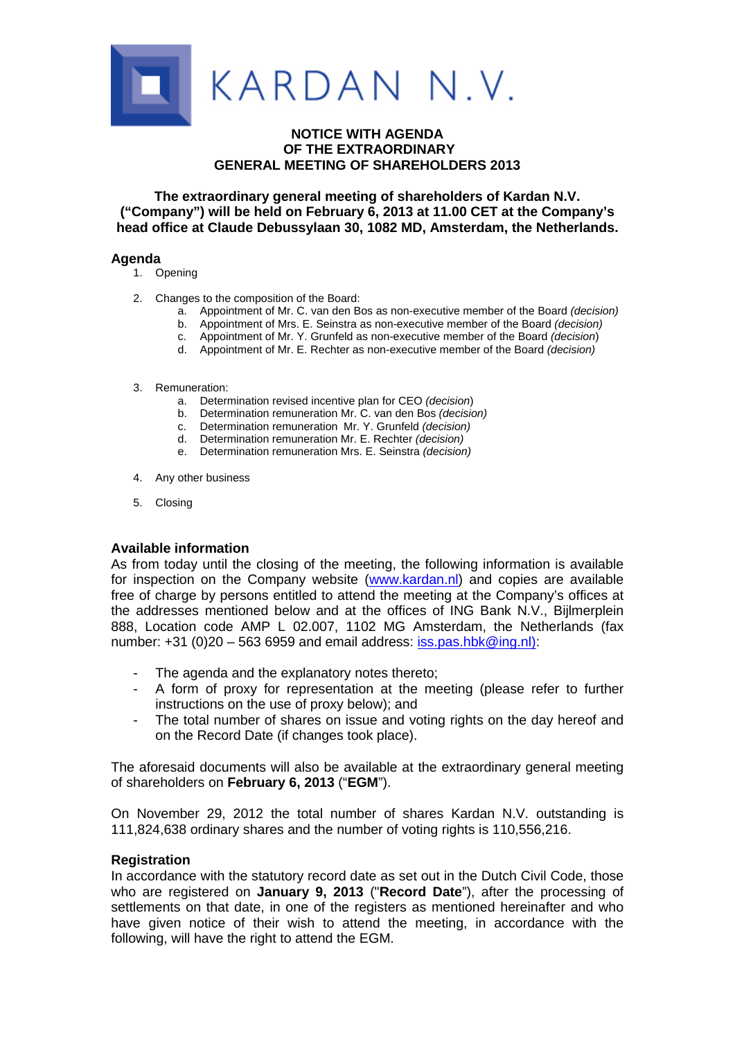

# **NOTICE WITH AGENDA OF THE EXTRAORDINARY GENERAL MEETING OF SHAREHOLDERS 2013**

**The extraordinary general meeting of shareholders of Kardan N.V. ("Company") will be held on February 6, 2013 at 11.00 CET at the Company's head office at Claude Debussylaan 30, 1082 MD, Amsterdam, the Netherlands.**

### **Agenda**

- 1. Opening
- 2. Changes to the composition of the Board:
	- a. Appointment of Mr. C. van den Bos as non-executive member of the Board *(decision)*
	- b. Appointment of Mrs. E. Seinstra as non-executive member of the Board *(decision)*
	- c. Appointment of Mr. Y. Grunfeld as non-executive member of the Board *(decision*)
	- d. Appointment of Mr. E. Rechter as non-executive member of the Board *(decision)*
- 3. Remuneration:
	- a. Determination revised incentive plan for CEO *(decision*)
	- b. Determination remuneration Mr. C. van den Bos *(decision)*
	- c. Determination remuneration Mr. Y. Grunfeld *(decision)*
	- d. Determination remuneration Mr. E. Rechter *(decision)*
	- e. Determination remuneration Mrs. E. Seinstra *(decision)*
- 4. Any other business
- 5. Closing

# **Available information**

As from today until the closing of the meeting, the following information is available for inspection on the Company website (www.kardan.nl) and copies are available free of charge by persons entitled to attend the meeting at the Company's offices at the addresses mentioned below and at the offices of ING Bank N.V., Bijlmerplein 888, Location code AMP L 02.007, 1102 MG Amsterdam, the Netherlands (fax number:  $+31$  (0)20 – 563 6959 and email address: iss.pas.hbk@ing.nl):

- The agenda and the explanatory notes thereto;
- A form of proxy for representation at the meeting (please refer to further instructions on the use of proxy below); and
- The total number of shares on issue and voting rights on the day hereof and on the Record Date (if changes took place).

The aforesaid documents will also be available at the extraordinary general meeting of shareholders on **February 6, 2013** ("**EGM**").

On November 29, 2012 the total number of shares Kardan N.V. outstanding is 111,824,638 ordinary shares and the number of voting rights is 110,556,216.

### **Registration**

In accordance with the statutory record date as set out in the Dutch Civil Code, those who are registered on **January 9, 2013** ("**Record Date**"), after the processing of settlements on that date, in one of the registers as mentioned hereinafter and who have given notice of their wish to attend the meeting, in accordance with the following, will have the right to attend the EGM.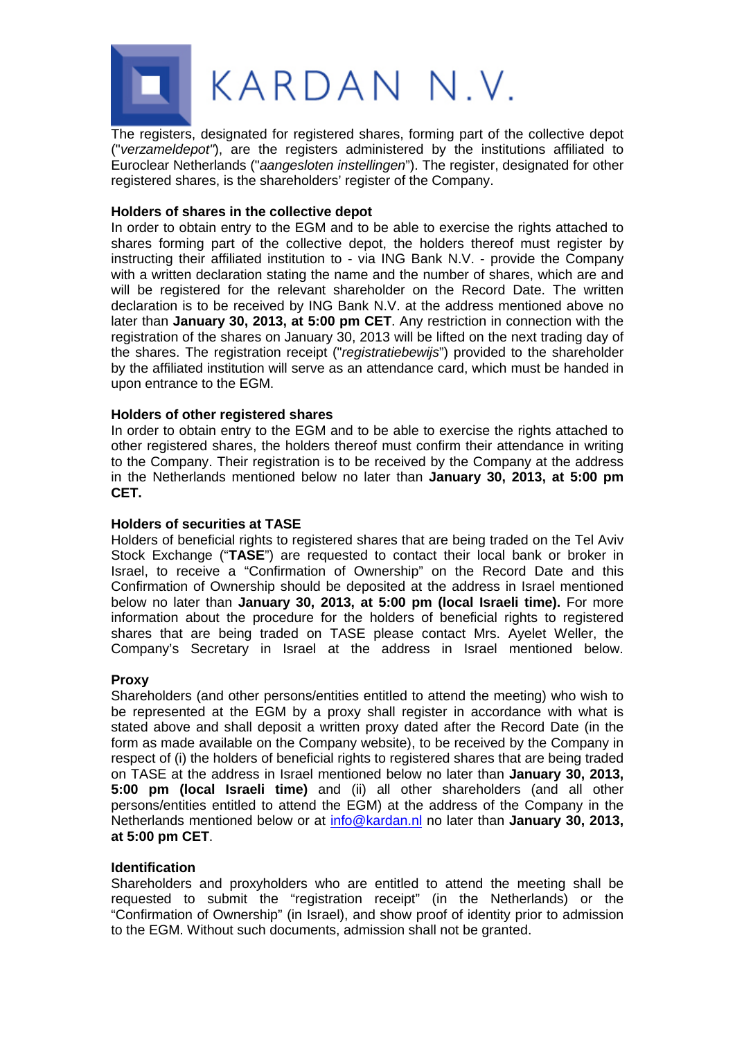

The registers, designated for registered shares, forming part of the collective depot ("*verzameldepot"*), are the registers administered by the institutions affiliated to Euroclear Netherlands ("*aangesloten instellingen*"). The register, designated for other registered shares, is the shareholders' register of the Company.

### **Holders of shares in the collective depot**

In order to obtain entry to the EGM and to be able to exercise the rights attached to shares forming part of the collective depot, the holders thereof must register by instructing their affiliated institution to - via ING Bank N.V. - provide the Company with a written declaration stating the name and the number of shares, which are and will be registered for the relevant shareholder on the Record Date. The written declaration is to be received by ING Bank N.V. at the address mentioned above no later than **January 30, 2013, at 5:00 pm CET**. Any restriction in connection with the registration of the shares on January 30, 2013 will be lifted on the next trading day of the shares. The registration receipt ("*registratiebewijs*") provided to the shareholder by the affiliated institution will serve as an attendance card, which must be handed in upon entrance to the EGM.

# **Holders of other registered shares**

In order to obtain entry to the EGM and to be able to exercise the rights attached to other registered shares, the holders thereof must confirm their attendance in writing to the Company. Their registration is to be received by the Company at the address in the Netherlands mentioned below no later than **January 30, 2013, at 5:00 pm CET.**

### **Holders of securities at TASE**

Holders of beneficial rights to registered shares that are being traded on the Tel Aviv Stock Exchange ("**TASE**") are requested to contact their local bank or broker in Israel, to receive a "Confirmation of Ownership" on the Record Date and this Confirmation of Ownership should be deposited at the address in Israel mentioned below no later than **January 30, 2013, at 5:00 pm (local Israeli time).** For more information about the procedure for the holders of beneficial rights to registered shares that are being traded on TASE please contact Mrs. Ayelet Weller, the Company's Secretary in Israel at the address in Israel mentioned below.

#### **Proxy**

Shareholders (and other persons/entities entitled to attend the meeting) who wish to be represented at the EGM by a proxy shall register in accordance with what is stated above and shall deposit a written proxy dated after the Record Date (in the form as made available on the Company website), to be received by the Company in respect of (i) the holders of beneficial rights to registered shares that are being traded on TASE at the address in Israel mentioned below no later than **January 30, 2013, 5:00 pm (local Israeli time)** and (ii) all other shareholders (and all other persons/entities entitled to attend the EGM) at the address of the Company in the Netherlands mentioned below or at info@kardan.nl no later than **January 30, 2013, at 5:00 pm CET**.

#### **Identification**

Shareholders and proxyholders who are entitled to attend the meeting shall be requested to submit the "registration receipt" (in the Netherlands) or the "Confirmation of Ownership" (in Israel), and show proof of identity prior to admission to the EGM. Without such documents, admission shall not be granted.